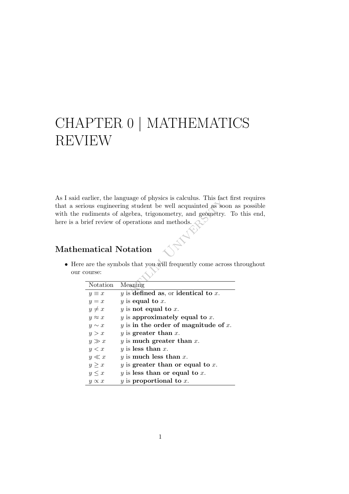# CHAPTER <sup>0</sup> <sup>|</sup> MATHEMATICS REVIEW

dage of physics is calculus. This factorially as so gebra, trigonometry, and geometry.<br>gebra, trigonometry, and geometry.<br>perations and methods.<br>**btation**<br>ls that you will frequently come acrossing is defined as, or ident As I said earlier, the language of physics is calculus. This fact first requires that a serious engineering student be well acquainted as soon as possible with the rudiments of algebra, trigonometry, and geometry. To this end, here is a brief review of operations and methods.

## Mathematical Notation

• Here are the symbols that you will frequently come across throughout our course:

| Notation      | Meaning                              |
|---------------|--------------------------------------|
| $y \equiv x$  | y is defined as, or identical to x.  |
| $y = x$       | y is equal to x.                     |
| $y \neq x$    | $y$ is not equal to $x$ .            |
| $y \approx x$ | $y$ is approximately equal to $x$ .  |
| $y \sim x$    | y is in the order of magnitude of x. |
| y > x         | y is greater than $x$ .              |
| $y \gg x$     | y is much greater than x.            |
| y < x         | y is less than x.                    |
| $y \ll x$     | y is much less than x.               |
| $y \geq x$    | y is greater than or equal to x.     |
| $y \leq x$    | y is less than or equal to x.        |
| $y \propto x$ | $y$ is proportional to $x$ .         |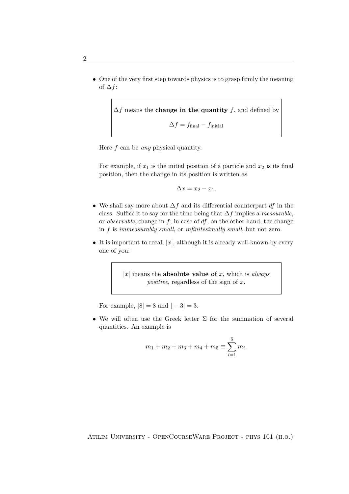• One of the very first step towards physics is to grasp firmly the meaning of  $\Delta f$ :

$$
\Delta f
$$
 means the **change in the quantity**  $f$ , and defined by 
$$
\Delta f = f_{\text{final}} - f_{\text{initial}}
$$

Here  $f$  can be *any* physical quantity.

For example, if  $x_1$  is the initial position of a particle and  $x_2$  is its final position, then the change in its position is written as

$$
\Delta x = x_2 - x_1.
$$

- We shall say more about  $\Delta f$  and its differential counterpart df in the class. Suffice it to say for the time being that  $\Delta f$  implies a measurable, or *observable*, change in  $f$ ; in case of  $df$ , on the other hand, the change in f is immeasurably small, or infinitesimally small, but not zero.
- It is important to recall  $|x|$ , although it is already well-known by every one of you:

|x| means the **absolute value of** x, which is *always positive*, regardless of the sign of  $x$ .

For example,  $|8| = 8$  and  $|-3| = 3$ .

• We will often use the Greek letter  $\Sigma$  for the summation of several quantities. An example is

$$
m_1 + m_2 + m_3 + m_4 + m_5 \equiv \sum_{i=1}^{5} m_i.
$$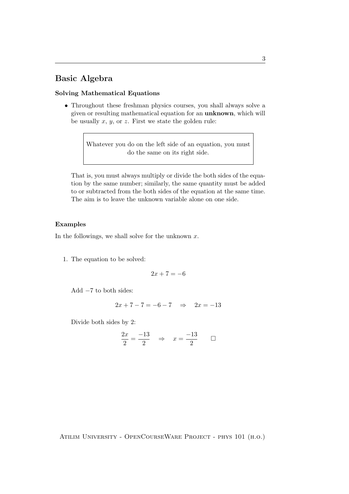## Basic Algebra

#### Solving Mathematical Equations

• Throughout these freshman physics courses, you shall always solve a given or resulting mathematical equation for an unknown, which will be usually  $x$ ,  $y$ , or  $z$ . First we state the golden rule:

> Whatever you do on the left side of an equation, you must do the same on its right side.

That is, you must always multiply or divide the both sides of the equation by the same number; similarly, the same quantity must be added to or subtracted from the both sides of the equation at the same time. The aim is to leave the unknown variable alone on one side.

#### Examples

In the followings, we shall solve for the unknown  $x$ .

1. The equation to be solved:

$$
2x + 7 = -6
$$

Add −7 to both sides:

$$
2x + 7 - 7 = -6 - 7 \Rightarrow 2x = -13
$$

Divide both sides by 2:

$$
\frac{2x}{2} = \frac{-13}{2} \quad \Rightarrow \quad x = \frac{-13}{2} \qquad \Box
$$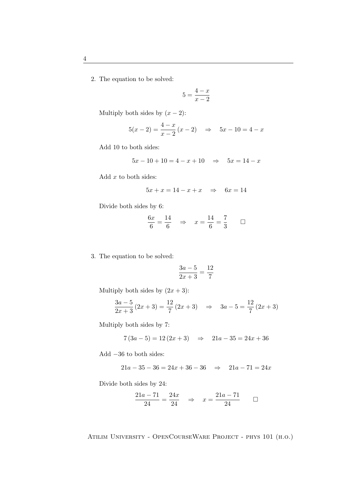2. The equation to be solved:

$$
5 = \frac{4-x}{x-2}
$$

Multiply both sides by  $(x - 2)$ :

$$
5(x-2) = \frac{4-x}{x-2} (x-2) \quad \Rightarrow \quad 5x - 10 = 4 - x
$$

Add 10 to both sides:

$$
5x - 10 + 10 = 4 - x + 10 \quad \Rightarrow \quad 5x = 14 - x
$$

Add  $x$  to both sides:

$$
5x + x = 14 - x + x \quad \Rightarrow \quad 6x = 14
$$

Divide both sides by 6:

$$
\frac{6x}{6} = \frac{14}{6} \Rightarrow x = \frac{14}{6} = \frac{7}{3} \Box
$$

3. The equation to be solved:

$$
\frac{3a-5}{2x+3} = \frac{12}{7}
$$

Multiply both sides by  $(2x + 3)$ :

$$
\frac{3a-5}{2x+3}(2x+3) = \frac{12}{7}(2x+3) \Rightarrow 3a-5 = \frac{12}{7}(2x+3)
$$

Multiply both sides by 7:

$$
7(3a - 5) = 12(2x + 3) \Rightarrow 21a - 35 = 24x + 36
$$

Add −36 to both sides:

$$
21a - 35 - 36 = 24x + 36 - 36 \implies 21a - 71 = 24x
$$

Divide both sides by 24:

$$
\frac{21a - 71}{24} = \frac{24x}{24} \quad \Rightarrow \quad x = \frac{21a - 71}{24} \qquad \Box
$$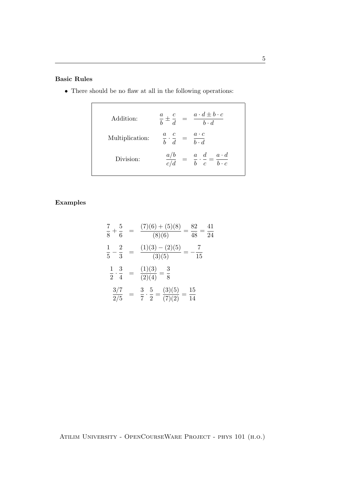#### Basic Rules

- Addition:  $\overline{b}$   $\pm$ c  $\frac{c}{d} = \frac{a \cdot d \pm b \cdot c}{b \cdot d}$  $b \cdot d$ Multiplication:  $\frac{a}{b}$ . c  $\frac{c}{d} = \frac{a \cdot c}{b \cdot d}$  $b \cdot d$ Division:  $\frac{a/b}{c/d}$  =  $\frac{a}{b}$  $\overline{b}$  . d  $\frac{d}{c} = \frac{a \cdot d}{b \cdot c}$  $b \cdot c$
- There should be no flaw at all in the following operations:

#### Examples

$$
\frac{7}{8} + \frac{5}{6} = \frac{(7)(6) + (5)(8)}{(8)(6)} = \frac{82}{48} = \frac{41}{24}
$$
  

$$
\frac{1}{5} - \frac{2}{3} = \frac{(1)(3) - (2)(5)}{(3)(5)} = -\frac{7}{15}
$$
  

$$
\frac{1}{2} \cdot \frac{3}{4} = \frac{(1)(3)}{(2)(4)} = \frac{3}{8}
$$
  

$$
\frac{3/7}{2/5} = \frac{3}{7} \cdot \frac{5}{2} = \frac{(3)(5)}{(7)(2)} = \frac{15}{14}
$$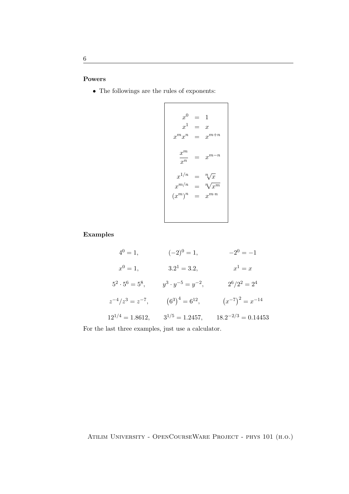#### Powers

 $\bullet~$  The followings are the rules of exponents:

$$
x^{0} = 1
$$
  
\n
$$
x^{1} = x
$$
  
\n
$$
x^{m}x^{n} = x^{m+n}
$$
  
\n
$$
\frac{x^{m}}{x^{n}} = x^{m-n}
$$
  
\n
$$
x^{1/n} = \sqrt[n]{x}
$$
  
\n
$$
x^{m/n} = \sqrt[n]{x^{m}}
$$
  
\n
$$
(x^{m})^{n} = x^{m \cdot n}
$$

#### Examples

| $4^0 = 1,$              | $(-2)^0 = 1,$                | $-2^0 = -1$             |
|-------------------------|------------------------------|-------------------------|
| $x^0 = 1,$              | $3.2^1 = 3.2,$               | $x^1=x$                 |
| $5^2 \cdot 5^6 = 5^8,$  | $y^3 \cdot y^{-5} = y^{-2},$ | $2^6/2^2 = 2^4$         |
| $z^{-4}/z^3 = z^{-7}$ , | $(6^3)^4 = 6^{12},$          | $(x^{-7})^2 = x^{-14}$  |
| $12^{1/4} = 1.8612,$    | $3^{1/5} = 1.2457,$          | $18.2^{-2/3} = 0.14453$ |
|                         |                              |                         |

For the last three examples, just use a calculator.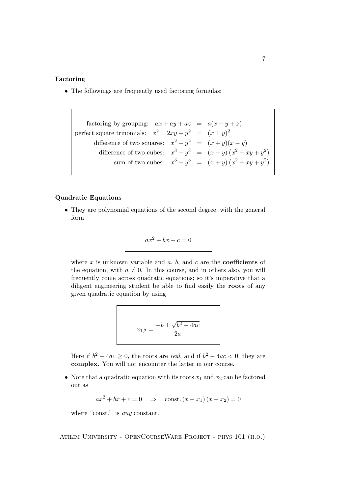#### Factoring

• The followings are frequently used factoring formulas:

factoring by grouping:  $ax + ay + az = a(x + y + z)$ perfect square trinomials:  $x^2 \pm 2xy + y^2 = (x \pm y)^2$ difference of two squares:  $x^2 - y^2 = (x + y)(x - y)$ difference of two cubes:  $x^3 - y^3 = (x - y)(x^2 + xy + y^2)$ sum of two cubes:  $x^3 + y^3 = (x + y)(x^2 - xy + y^2)$ 

#### Quadratic Equations

• They are polynomial equations of the second degree, with the general form

$$
ax^2 + bx + c = 0
$$

where x is unknown variable and  $a, b$ , and  $c$  are the **coefficients** of the equation, with  $a \neq 0$ . In this course, and in others also, you will frequently come across quadratic equations; so it's imperative that a diligent engineering student be able to find easily the roots of any given quadratic equation by using

$$
x_{1,2} = \frac{-b \pm \sqrt{b^2 - 4ac}}{2a}
$$

Here if  $b^2 - 4ac \ge 0$ , the roots are *real*, and if  $b^2 - 4ac < 0$ , they are complex. You will not encounter the latter in our course.

• Note that a quadratic equation with its roots  $x_1$  and  $x_2$  can be factored out as

 $ax^{2} + bx + c = 0 \Rightarrow$  const.  $(x - x_{1})(x - x_{2}) = 0$ 

where "const." is *any* constant.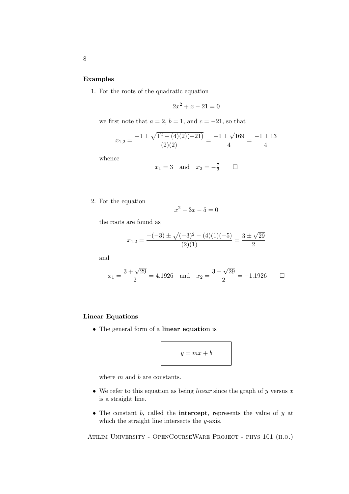#### Examples

1. For the roots of the quadratic equation

$$
2x^2 + x - 21 = 0
$$

we first note that  $a = 2$ ,  $b = 1$ , and  $c = -21$ , so that

$$
x_{1,2} = \frac{-1 \pm \sqrt{1^2 - (4)(2)(-21)}}{(2)(2)} = \frac{-1 \pm \sqrt{169}}{4} = \frac{-1 \pm 13}{4}
$$

whence

$$
x_1 = 3 \quad \text{and} \quad x_2 = -\frac{7}{2} \qquad \Box
$$

2. For the equation

$$
x^2 - 3x - 5 = 0
$$

the roots are found as

$$
x_{1,2} = \frac{-(-3) \pm \sqrt{(-3)^2 - (4)(1)(-5)}}{(2)(1)} = \frac{3 \pm \sqrt{29}}{2}
$$

and

$$
x_1 = \frac{3 + \sqrt{29}}{2} = 4.1926
$$
 and  $x_2 = \frac{3 - \sqrt{29}}{2} = -1.1926$   $\Box$ 

#### Linear Equations

• The general form of a linear equation is

$$
y = mx + b
$$

where  $m$  and  $b$  are constants.

- We refer to this equation as being *linear* since the graph of  $y$  versus  $x$ is a straight line.
- The constant  $b$ , called the **intercept**, represents the value of  $y$  at which the straight line intersects the  $y$ -axis.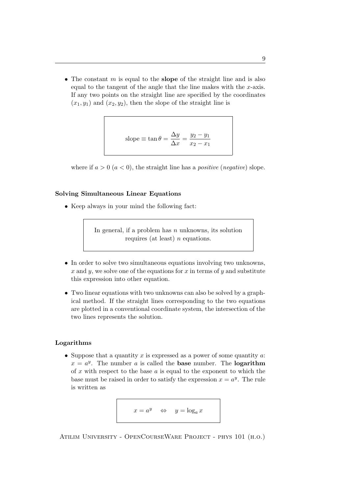• The constant  $m$  is equal to the **slope** of the straight line and is also equal to the tangent of the angle that the line makes with the  $x$ -axis. If any two points on the straight line are specified by the coordinates  $(x_1, y_1)$  and  $(x_2, y_2)$ , then the slope of the straight line is

slope 
$$
\equiv \tan \theta = \frac{\Delta y}{\Delta x} = \frac{y_2 - y_1}{x_2 - x_1}
$$

where if  $a > 0$   $(a < 0)$ , the straight line has a *positive* (*negative*) slope.

#### Solving Simultaneous Linear Equations

• Keep always in your mind the following fact:

In general, if a problem has  $n$  unknowns, its solution requires (at least)  $n$  equations.

- In order to solve two simultaneous equations involving two unknowns, x and y, we solve one of the equations for x in terms of y and substitute this expression into other equation.
- Two linear equations with two unknowns can also be solved by a graphical method. If the straight lines corresponding to the two equations are plotted in a conventional coordinate system, the intersection of the two lines represents the solution.

#### Logarithms

• Suppose that a quantity x is expressed as a power of some quantity  $a$ :  $x = a^y$ . The number a is called the **base** number. The **logarithm** of  $x$  with respect to the base  $a$  is equal to the exponent to which the base must be raised in order to satisfy the expression  $x = a^y$ . The rule is written as

$$
x = a^y \quad \Leftrightarrow \quad y = \log_a x
$$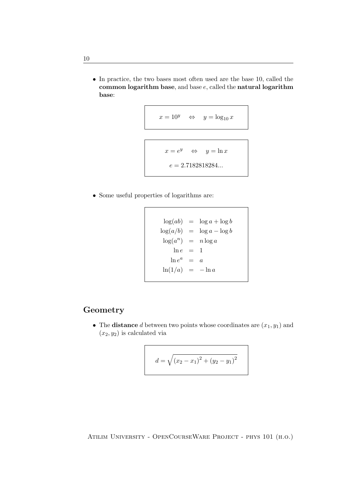• In practice, the two bases most often used are the base 10, called the common logarithm base, and base  $e$ , called the natural logarithm base:

$$
x = 10^y \quad \Leftrightarrow \quad y = \log_{10} x
$$

$$
x = e^y \Leftrightarrow y = \ln x
$$

$$
e = 2.7182818284...
$$

• Some useful properties of logarithms are:

 $\log(ab) = \log a + \log b$  $\log(a/b) = \log a - \log b$  $\log(a^n) = n \log a$  $ln e = 1$  $\ln e^a = a$  $\ln(1/a) = -\ln a$ 

### Geometry

• The **distance** d between two points whose coordinates are  $(x_1, y_1)$  and  $(x_2, y_2)$  is calculated via

$$
d = \sqrt{(x_2 - x_1)^2 + (y_2 - y_1)^2}
$$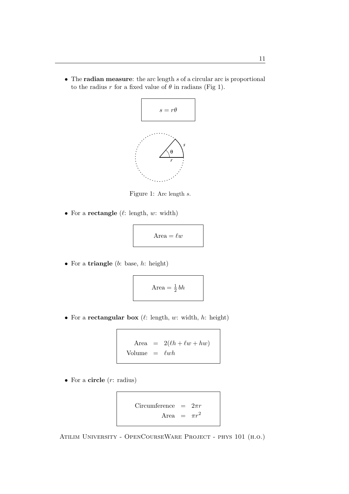• The radian measure: the arc length s of a circular arc is proportional to the radius r for a fixed value of  $\theta$  in radians (Fig 1).



Figure 1: Arc length s.

• For a rectangle  $(\ell: \text{length}, w: \text{width})$ 

$$
Area = \ell w
$$

• For a triangle  $(b: base, h: height)$ 

$$
Area = \frac{1}{2}bh
$$

• For a rectangular box  $(\ell: \text{length}, w: \text{width}, h: \text{height})$ 

Area = 
$$
2(\ell h + \ell w + hw)
$$
  
Volume =  $\ell wh$ 

• For a circle  $(r:$  radius)

$$
\text{Circumference} = 2\pi r
$$
\n
$$
\text{Area} = \pi r^2
$$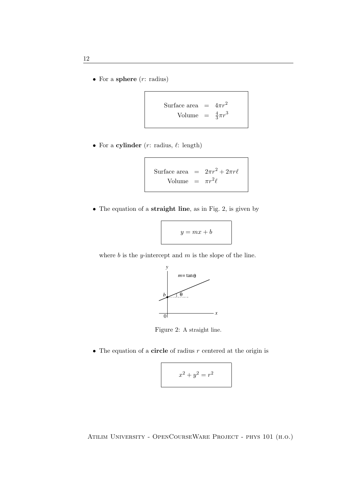• For a sphere  $(r:$  radius)

Surface area = 
$$
4\pi r^2
$$
  
Volume =  $\frac{4}{3}\pi r^3$ 

• For a cylinder  $(r: \text{radius}, \ell: \text{length})$ 

Surface area = 
$$
2\pi r^2 + 2\pi r\ell
$$
  
Volume =  $\pi r^2 \ell$ 

• The equation of a **straight line**, as in Fig. 2, is given by

$$
y = mx + b
$$

where  $b$  is the y-intercept and  $m$  is the slope of the line.



Figure 2: A straight line.

• The equation of a **circle** of radius  $r$  centered at the origin is

$$
x^2 + y^2 = r^2
$$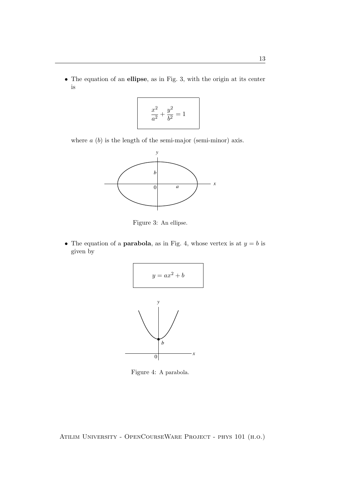• The equation of an ellipse, as in Fig. 3, with the origin at its center is

$$
\frac{x^2}{a^2} + \frac{y^2}{b^2} = 1
$$

where  $a (b)$  is the length of the semi-major (semi-minor) axis.



Figure 3: An ellipse.

• The equation of a **parabola**, as in Fig. 4, whose vertex is at  $y = b$  is given by



Figure 4: A parabola.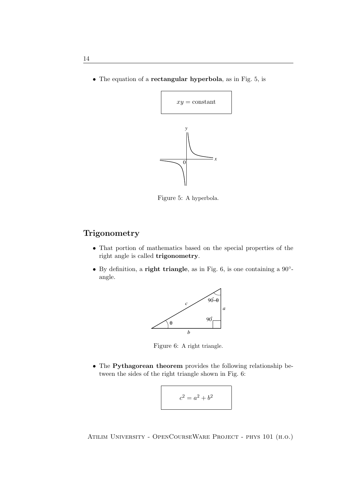• The equation of a rectangular hyperbola, as in Fig. 5, is



Figure 5: A hyperbola.

## **Trigonometry**

- That portion of mathematics based on the special properties of the right angle is called trigonometry.
- By definition, a **right triangle**, as in Fig. 6, is one containing a  $90^\circ$ angle.



Figure 6: A right triangle.

• The Pythagorean theorem provides the following relationship between the sides of the right triangle shown in Fig. 6:

$$
c^2 = a^2 + b^2
$$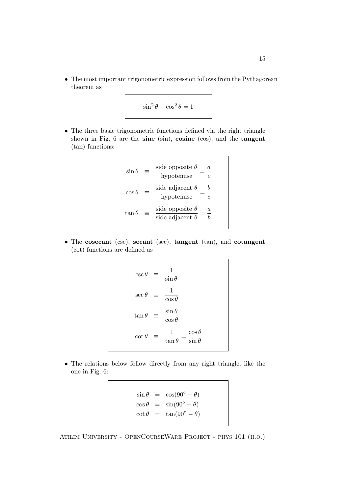• The most important trigonometric expression follows from the Pythagorean theorem as

$$
\sin^2\theta + \cos^2\theta = 1
$$

• The three basic trigonometric functions defined via the right triangle shown in Fig. 6 are the sine (sin), cosine (cos), and the tangent (tan) functions:

$$
\sin \theta \equiv \frac{\text{side opposite } \theta}{\text{hypotenuse}} = \frac{a}{c}
$$

$$
\cos \theta \equiv \frac{\text{side adjacent } \theta}{\text{hypotenuse}} = \frac{b}{c}
$$

$$
\tan \theta \equiv \frac{\text{side opposite } \theta}{\text{side adjacent } \theta} = \frac{a}{b}
$$

• The cosecant (csc), secant (sec), tangent (tan), and cotangent (cot) functions are defined as

$$
\csc \theta = \frac{1}{\sin \theta}
$$
  
\n
$$
\sec \theta = \frac{1}{\cos \theta}
$$
  
\n
$$
\tan \theta = \frac{\sin \theta}{\cos \theta}
$$
  
\n
$$
\cot \theta = \frac{1}{\tan \theta} = \frac{\cos \theta}{\sin \theta}
$$

• The relations below follow directly from any right triangle, like the one in Fig. 6:

> $\sin \theta = \cos(90^\circ - \theta)$  $\cos \theta = \sin(90^\circ - \theta)$  $\cot \theta = \tan(90^\circ - \theta)$

Atilim University - OpenCourseWare Project - phys 101 (h.o.)